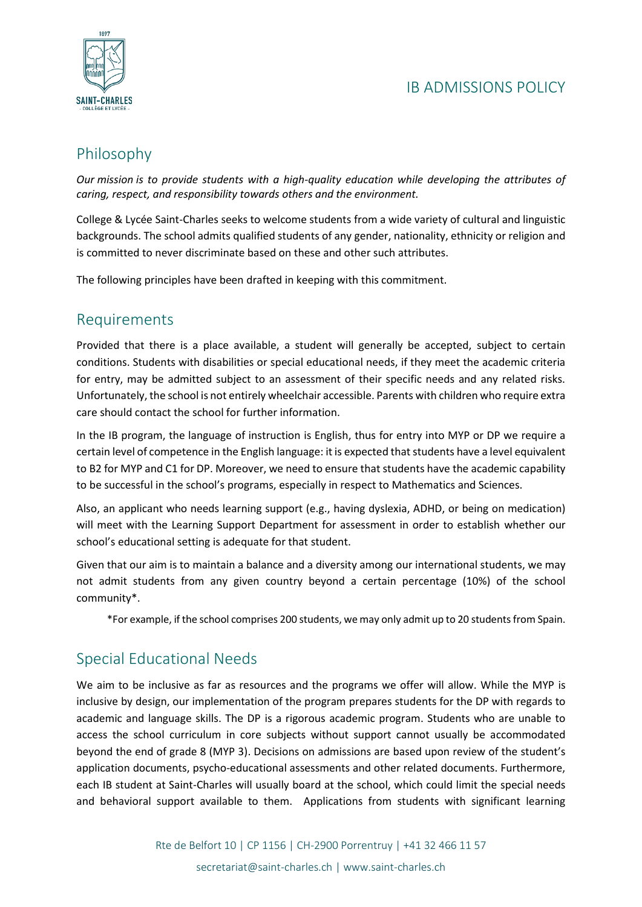

# Philosophy

*Our mission is to provide students with a high-quality education while developing the attributes of caring, respect, and responsibility towards others and the environment.*

College & Lycée Saint-Charles seeks to welcome students from a wide variety of cultural and linguistic backgrounds. The school admits qualified students of any gender, nationality, ethnicity or religion and is committed to never discriminate based on these and other such attributes.

The following principles have been drafted in keeping with this commitment.

### Requirements

Provided that there is a place available, a student will generally be accepted, subject to certain conditions. Students with disabilities or special educational needs, if they meet the academic criteria for entry, may be admitted subject to an assessment of their specific needs and any related risks. Unfortunately, the school is not entirely wheelchair accessible. Parents with children who require extra care should contact the school for further information.

In the IB program, the language of instruction is English, thus for entry into MYP or DP we require a certain level of competence in the English language: it is expected that students have a level equivalent to B2 for MYP and C1 for DP. Moreover, we need to ensure that students have the academic capability to be successful in the school's programs, especially in respect to Mathematics and Sciences.

Also, an applicant who needs learning support (e.g., having dyslexia, ADHD, or being on medication) will meet with the Learning Support Department for assessment in order to establish whether our school's educational setting is adequate for that student.

Given that our aim is to maintain a balance and a diversity among our international students, we may not admit students from any given country beyond a certain percentage (10%) of the school community\*.

\*For example, if the school comprises 200 students, we may only admit up to 20 students from Spain.

## Special Educational Needs

We aim to be inclusive as far as resources and the programs we offer will allow. While the MYP is inclusive by design, our implementation of the program prepares students for the DP with regards to academic and language skills. The DP is a rigorous academic program. Students who are unable to access the school curriculum in core subjects without support cannot usually be accommodated beyond the end of grade 8 (MYP 3). Decisions on admissions are based upon review of the student's application documents, psycho-educational assessments and other related documents. Furthermore, each IB student at Saint-Charles will usually board at the school, which could limit the special needs and behavioral support available to them. Applications from students with significant learning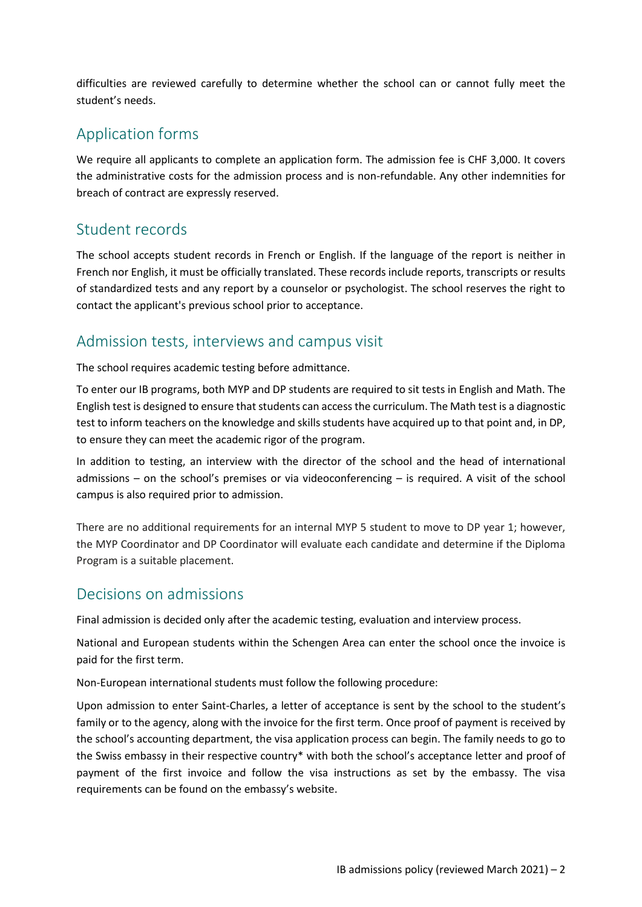difficulties are reviewed carefully to determine whether the school can or cannot fully meet the student's needs.

## Application forms

We require all applicants to complete an application form. The admission fee is CHF 3,000. It covers the administrative costs for the admission process and is non-refundable. Any other indemnities for breach of contract are expressly reserved.

#### Student records

The school accepts student records in French or English. If the language of the report is neither in French nor English, it must be officially translated. These records include reports, transcripts or results of standardized tests and any report by a counselor or psychologist. The school reserves the right to contact the applicant's previous school prior to acceptance.

#### Admission tests, interviews and campus visit

The school requires academic testing before admittance.

To enter our IB programs, both MYP and DP students are required to sit tests in English and Math. The English test is designed to ensure that students can access the curriculum. The Math test is a diagnostic test to inform teachers on the knowledge and skills students have acquired up to that point and, in DP, to ensure they can meet the academic rigor of the program.

In addition to testing, an interview with the director of the school and the head of international admissions – on the school's premises or via videoconferencing – is required. A visit of the school campus is also required prior to admission.

There are no additional requirements for an internal MYP 5 student to move to DP year 1; however, the MYP Coordinator and DP Coordinator will evaluate each candidate and determine if the Diploma Program is a suitable placement.

#### Decisions on admissions

Final admission is decided only after the academic testing, evaluation and interview process.

National and European students within the Schengen Area can enter the school once the invoice is paid for the first term.

Non-European international students must follow the following procedure:

Upon admission to enter Saint-Charles, a letter of acceptance is sent by the school to the student's family or to the agency, along with the invoice for the first term. Once proof of payment is received by the school's accounting department, the visa application process can begin. The family needs to go to the Swiss embassy in their respective country\* with both the school's acceptance letter and proof of payment of the first invoice and follow the visa instructions as set by the embassy. The visa requirements can be found on the embassy's website.